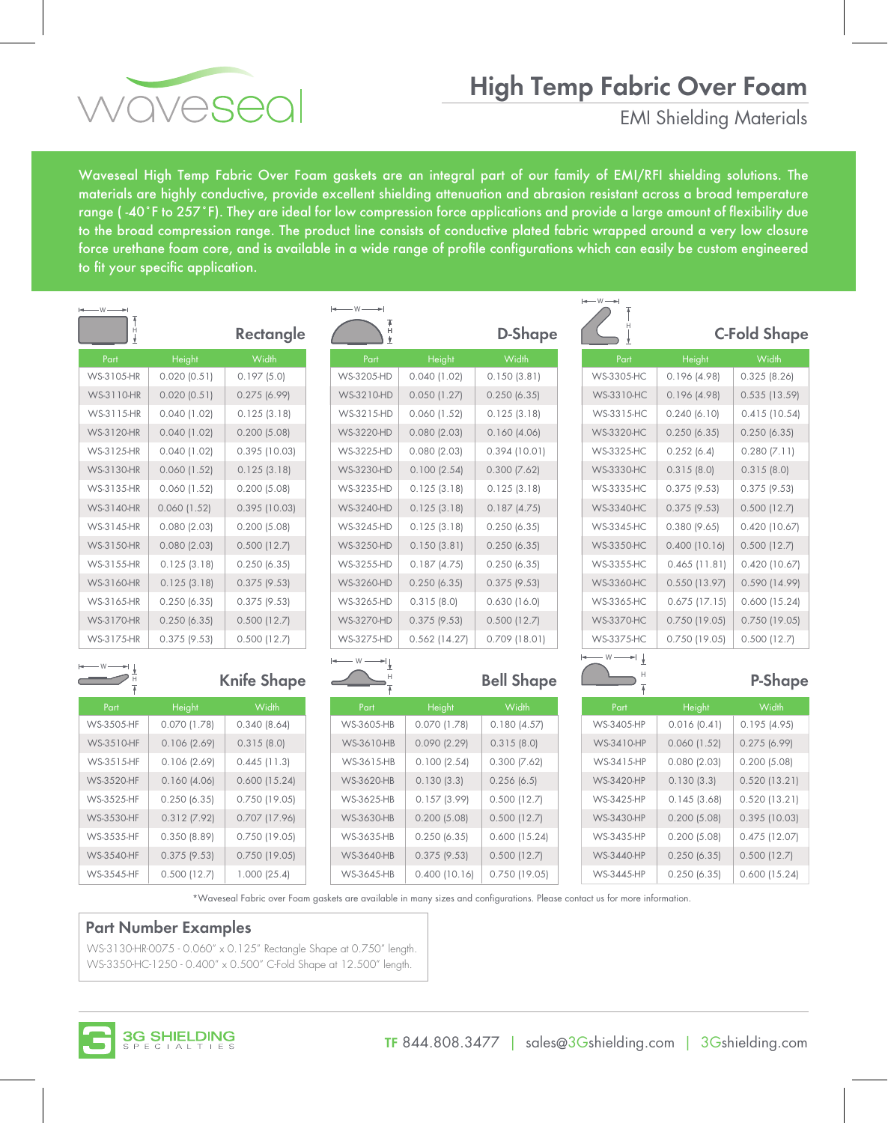# **High Temp Fabric Over Foam**



EMI Shielding Materials

Waveseal High Temp Fabric Over Foam gaskets are an integral part of our family of EMI/RFI shielding solutions. The materials are highly conductive, provide excellent shielding attenuation and abrasion resistant across a broad temperature range (-40°F to 257°F). They are ideal for low compression force applications and provide a large amount of flexibility due to the broad compression range. The product line consists of conductive plated fabric wrapped around a very low closure force urethane foam core, and is available in a wide range of profile configurations which can easily be custom engineered to fit your specific application.

| $\longleftarrow$ W $\longrightarrow$ |                |                    | $\longleftarrow$ W $\longrightarrow$ |                  |                   | $\longleftarrow$ W $\longrightarrow$  |                 |                     |
|--------------------------------------|----------------|--------------------|--------------------------------------|------------------|-------------------|---------------------------------------|-----------------|---------------------|
|                                      |                | Rectangle          | Н                                    |                  | D-Shape           |                                       |                 | <b>C-Fold Shape</b> |
| Part                                 | Height         | Width              | Part                                 | Height           | Width             | Part                                  | Height          | Width               |
| WS-3105-HR                           | 0.020(0.51)    | 0.197(5.0)         | WS-3205-HD                           | $0.040$ (1.02)   | 0.150(3.81)       | WS-3305-HC                            | 0.196(4.98)     | 0.325(8.26)         |
| WS-3110-HR                           | 0.020(0.51)    | 0.275(6.99)        | <b>WS-3210-HD</b>                    | 0.050(1.27)      | 0.250(6.35)       | <b>WS-3310-HC</b>                     | 0.196(4.98)     | 0.535(13.59)        |
| WS-3115-HR                           | $0.040$ (1.02) | 0.125(3.18)        | WS-3215-HD                           | $0.060$ (1.52)   | 0.125(3.18)       | WS-3315-HC                            | 0.240(6.10)     | $0.415$ (10.54)     |
| WS-3120-HR                           | $0.040$ (1.02) | 0.200(5.08)        | <b>WS-3220-HD</b>                    | 0.080(2.03)      | 0.160(4.06)       | <b>WS-3320-HC</b>                     | 0.250(6.35)     | 0.250(6.35)         |
| WS-3125-HR                           | $0.040$ (1.02) | $0.395$ (10.03)    | WS-3225-HD                           | 0.080(2.03)      | 0.394(10.01)      | <b>WS-3325-HC</b>                     | 0.252(6.4)      | $0.280$ (7.11)      |
| WS-3130-HR                           | $0.060$ (1.52) | 0.125(3.18)        | <b>WS-3230-HD</b>                    | 0.100(2.54)      | $0.300$ $(7.62)$  | <b>WS-3330-HC</b>                     | 0.315(8.0)      | 0.315(8.0)          |
| WS-3135-HR                           | $0.060$ (1.52) | 0.200(5.08)        | WS-3235-HD                           | 0.125(3.18)      | 0.125(3.18)       | <b>WS-3335-HC</b>                     | $0.375$ (9.53)  | $0.375$ (9.53)      |
| <b>WS-3140-HR</b>                    | $0.060$ (1.52) | 0.395(10.03)       | <b>WS-3240-HD</b>                    | 0.125(3.18)      | 0.187(4.75)       | <b>WS-3340-HC</b>                     | $0.375$ (9.53)  | 0.500(12.7)         |
| WS-3145-HR                           | 0.080(2.03)    | 0.200(5.08)        | <b>WS-3245-HD</b>                    | 0.125(3.18)      | 0.250(6.35)       | <b>WS-3345-HC</b>                     | 0.380(9.65)     | 0.420(10.67)        |
| <b>WS-3150-HR</b>                    | 0.080(2.03)    | 0.500(12.7)        | <b>WS-3250-HD</b>                    | 0.150(3.81)      | 0.250(6.35)       | <b>WS-3350-HC</b>                     | 0.400(10.16)    | 0.500(12.7)         |
| WS-3155-HR                           | 0.125(3.18)    | 0.250(6.35)        | WS-3255-HD                           | 0.187(4.75)      | 0.250(6.35)       | <b>WS-3355-HC</b>                     | $0.465$ (11.81) | 0.420(10.67)        |
| WS-3160-HR                           | 0.125(3.18)    | $0.375$ (9.53)     | WS-3260-HD                           | 0.250(6.35)      | $0.375$ (9.53)    | <b>WS-3360-HC</b>                     | $0.550$ (13.97) | 0.590(14.99)        |
| WS-3165-HR                           | 0.250(6.35)    | $0.375$ (9.53)     | WS-3265-HD                           | 0.315(8.0)       | 0.630(16.0)       | <b>WS-3365-HC</b>                     | $0.675$ (17.15) | 0.600(15.24)        |
| WS-3170-HR                           | 0.250(6.35)    | 0.500(12.7)        | <b>WS-3270-HD</b>                    | $0.375$ (9.53)   | $0.500$ (12.7)    | <b>WS-3370-HC</b>                     | $0.750$ (19.05) | $0.750$ (19.05)     |
| WS-3175-HR                           | $0.375$ (9.53) | 0.500(12.7)        | WS-3275-HD                           | $0.562$ (14.27)  | 0.709 (18.01)     | <b>WS-3375-HC</b>                     | $0.750$ (19.05) | $0.500$ (12.7)      |
|                                      |                |                    | — W —<br>★∣∣                         |                  |                   | $-$ W $\longrightarrow$ $\frac{1}{2}$ |                 |                     |
|                                      |                | <b>Knife Shape</b> |                                      |                  | <b>Bell Shape</b> |                                       |                 | P-Shape             |
| Part                                 | Height         | Width              | Part                                 | Height           | Width             | Part                                  | Height          | Width               |
| <b>WS-3505-HF</b>                    | $0.070$ (1.78) | 0.340(8.64)        | <b>WS-3605-HB</b>                    | $0.070$ (1.78)   | 0.180(4.57)       | WS-3405-HP                            | 0.016(0.41)     | 0.195(4.95)         |
| <b>WS-3510-HF</b>                    | 0.106(2.69)    | 0.315(8.0)         | WS-3610-HB                           | $0.090$ $(2.29)$ | 0.315(8.0)        | WS-3410-HP                            | 0.060(1.52)     | 0.275(6.99)         |
| WS-3515-HF                           | 0.106(2.69)    | $0.445$ (11.3)     | WS-3615-HB                           | 0.100(2.54)      | $0.300$ $(7.62)$  | WS-3415-HP                            | 0.080(2.03)     | 0.200(5.08)         |
| <b>WS-3520-HF</b>                    | 0.160(4.06)    | 0.600(15.24)       | WS-3620-HB                           | 0.130(3.3)       | 0.256(6.5)        | WS-3420-HP                            | 0.130(3.3)      | 0.520(13.21)        |
| WS-3525-HF                           | 0.250(6.35)    | 0.750(19.05)       | WS-3625-HB                           | 0.157(3.99)      | 0.500(12.7)       | <b>WS-3425-HP</b>                     | 0.145(3.68)     | $0.520$ (13.21)     |
| WS-3530-HF                           | $0.312$ (7.92) | $0.707$ (17.96)    | <b>WS-3630-HB</b>                    | 0.200(5.08)      | 0.500(12.7)       | <b>WS-3430-HP</b>                     | 0.200(5.08)     | 0.395(10.03)        |
| WS-3535-HF                           | 0.350(8.89)    | 0.750 (19.05)      | <b>WS-3635-HB</b>                    | 0.250(6.35)      | 0.600(15.24)      | WS-3435-HP                            | 0.200(5.08)     | $0.475$ (12.07)     |
| <b>WS-3540-HF</b>                    | 0.375(9.53)    | 0.750 (19.05)      | WS-3640-HB                           | $0.375$ (9.53)   | $0.500$ (12.7)    | <b>WS-3440-HP</b>                     | 0.250(6.35)     | 0.500(12.7)         |

WS-3645-HB 0.400 (10.16) 0.750 (19.05) \*Waveseal Fabric over Foam gaskets are available in many sizes and configurations. Please contact us for more information.

### **Part Number Examples**

WS-3545-HF 0.500 (12.7) 1.000 (25.4)

WS-3130-HR-0075 - 0.060" x 0.125" Rectangle Shape at 0.750" length. WS-3350-HC-1250 - 0.400" x 0.500" C-Fold Shape at 12.500" length.



WS-3445-HP 0.250 (6.35) 0.600 (15.24)